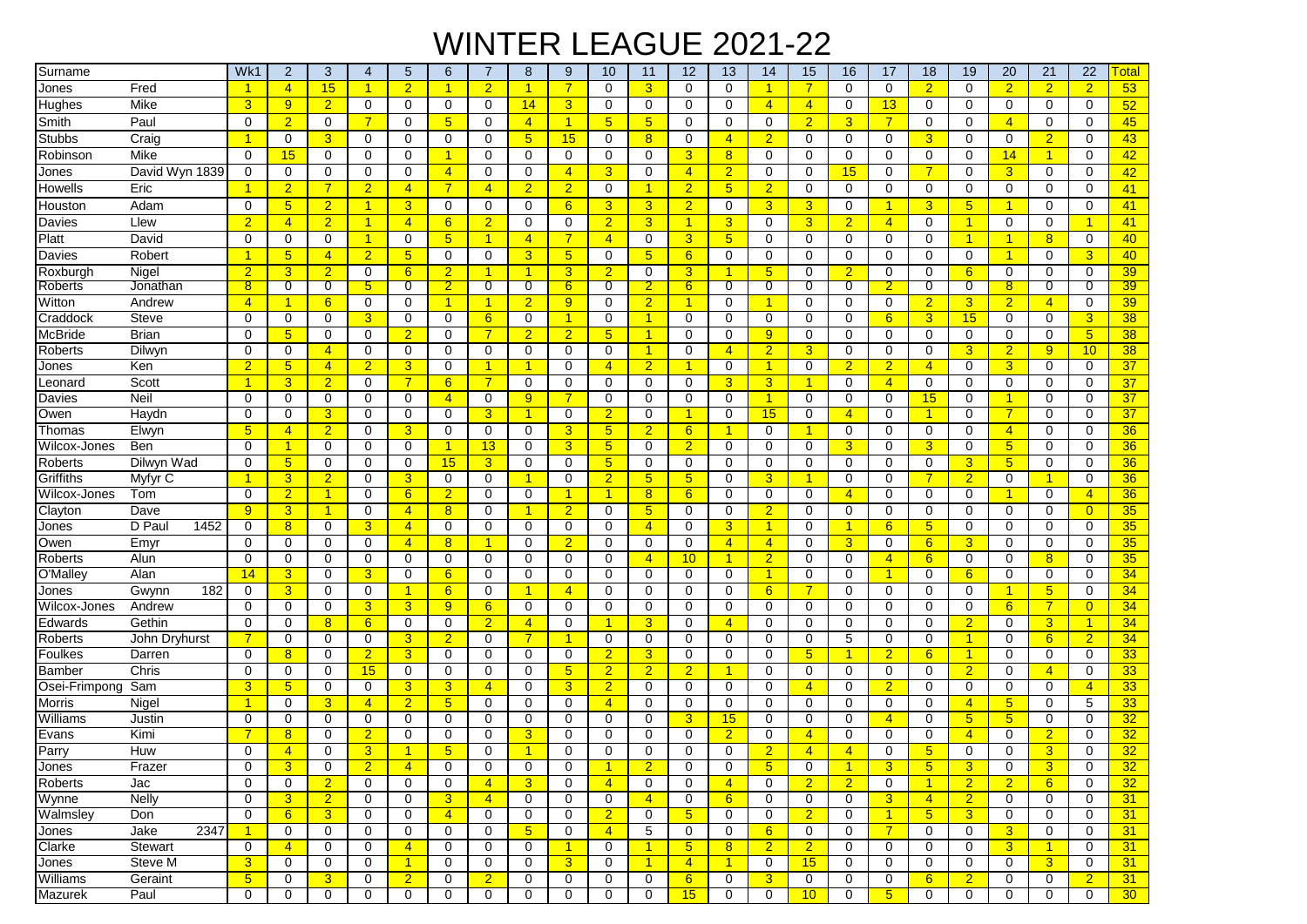## WINTER LEAGUE 2021-22

| Surname        |                | Wk1            | $\overline{2}$       | 3              | 4                    | 5               | 6               |                | 8                    | 9               | 10              | 11                   | 12               | 13                   | 14              | 15             | 16                   | 17                   | 18                   | 19             | 20             | 21             | 22                   | <u><sup>-</sup>otal</u> |
|----------------|----------------|----------------|----------------------|----------------|----------------------|-----------------|-----------------|----------------|----------------------|-----------------|-----------------|----------------------|------------------|----------------------|-----------------|----------------|----------------------|----------------------|----------------------|----------------|----------------|----------------|----------------------|-------------------------|
| Jones          | Fred           | 1              | $\overline{4}$       | 15             | $\blacktriangleleft$ | $\overline{2}$  | 1               | $\overline{2}$ | $\mathbf{1}$         | 7               | $\mathbf 0$     | 3 <sup>5</sup>       | $\mathbf 0$      | $\mathbf 0$          | $\mathbf{1}$    | 7              | $\mathbf 0$          | $\mathbf 0$          | $\overline{2}$       | $\mathbf 0$    | $\overline{2}$ | $\overline{2}$ | $\overline{2}$       | 53                      |
| Hughes         | Mike           | 3              | 9                    | $\overline{2}$ | 0                    | $\mathbf 0$     | 0               | 0              | 14                   | 3               | $\mathbf 0$     | 0                    | 0                | $\mathbf 0$          | $\overline{4}$  | $\overline{4}$ | 0                    | 13                   | 0                    | $\mathbf 0$    | 0              | $\mathbf 0$    | $\mathbf 0$          | 52                      |
| Smith          | Paul           | $\mathbf 0$    | $\overline{2}$       | 0              | $\overline{7}$       | $\Omega$        | 5               | $\Omega$       | $\overline{4}$       | 1               | $5\overline{)}$ | 5 <sup>5</sup>       | 0                | $\mathbf 0$          | 0               | 2 <sup>1</sup> | 3                    | $\overline{7}$       | $\Omega$             | $\Omega$       | $\overline{4}$ | $\Omega$       | $\Omega$             | 45                      |
| Stubbs         | Craig          | 1              | 0                    | 3              | 0                    | $\Omega$        | 0               | $\mathbf 0$    | 5 <sub>5</sub>       | 15              | $\mathbf 0$     | 8                    | $\Omega$         | $\overline{4}$       | $\overline{2}$  | 0              | 0                    | $\mathbf 0$          | $\mathbf{3}$         | $\Omega$       | 0              | $\overline{2}$ | 0                    | 43                      |
| Robinson       | Mike           | 0              | 15                   | 0              | 0                    | $\mathbf 0$     | 1               | $\mathbf 0$    | 0                    | 0               | 0               | $\mathbf 0$          | 3                | 8                    | $\mathbf 0$     | 0              | $\mathbf 0$          | $\mathbf 0$          | 0                    | $\mathbf 0$    | 14             | $\mathbf{1}$   | $\mathbf 0$          | 42                      |
| Jones          | David Wyn 1839 | $\mathbf 0$    | 0                    | $\mathbf 0$    | $\mathbf 0$          | $\mathbf 0$     | $\overline{4}$  | $\mathbf 0$    | $\mathbf 0$          | 4               | 3               | $\mathbf 0$          | $\overline{4}$   | $\overline{2}$       | $\mathbf 0$     | 0              | 15                   | $\mathbf 0$          | $\overline{7}$       | $\mathbf 0$    | $\overline{3}$ | $\mathbf 0$    | $\mathbf 0$          | 42                      |
| Howells        | Eric           | $\mathbf{1}$   | $\overline{2}$       | 7              | $\overline{2}$       | $\overline{4}$  | $\overline{7}$  | $\overline{4}$ | $\overline{2}$       | $\overline{2}$  | $\mathbf 0$     | $\blacktriangleleft$ | $\overline{2}$   | 5 <sub>5</sub>       | $\overline{2}$  | 0              | $\mathbf 0$          | $\mathbf 0$          | 0                    | $\mathbf 0$    | 0              | $\mathbf 0$    | $\mathbf 0$          | 41                      |
| Houston        | Adam           | 0              | $5\overline{)}$      | $\overline{2}$ | $\mathbf{1}$         | 3               | 0               | $\mathbf 0$    | 0                    | 6               | 3               | 3                    | $\overline{2}$   | $\mathbf 0$          | 3               | 3              | 0                    | $\blacktriangleleft$ | 3                    | 5              | $\mathbf{1}$   | 0              | 0                    | 41                      |
| Davies         | Llew           | $\overline{2}$ | $\overline{4}$       | $\overline{2}$ | $\overline{1}$       | $\overline{4}$  | 6               | $\overline{2}$ | 0                    | 0               | $\overline{2}$  | 3 <sup>5</sup>       | 1                | 3                    | $\mathbf 0$     | 3              | $\overline{2}$       | $\overline{4}$       | $\mathbf 0$          | $\overline{1}$ | 0              | 0              | $\blacktriangleleft$ | 41                      |
| Platt          | David          | 0              | 0                    | $\mathbf 0$    | $\overline{1}$       | $\mathbf 0$     | 5               | $\overline{1}$ | $\overline{4}$       | 7               | $\overline{4}$  | $\mathbf 0$          | 3                | $5\overline{)}$      | $\mathbf 0$     | 0              | $\mathbf 0$          | 0                    | $\Omega$             | $\overline{1}$ | $\overline{1}$ | 8 <sup>2</sup> | $\mathbf 0$          | 40                      |
| Davies         | Robert         | 1              | $5\overline{)}$      | $\overline{4}$ | $\overline{2}$       | 5               | $\mathbf 0$     | $\mathbf 0$    | 3                    | $5\overline{)}$ | $\mathbf 0$     | $5\overline{)}$      | 6                | $\mathbf 0$          | $\mathbf 0$     | 0              | $\mathbf 0$          | $\mathbf 0$          | $\mathbf 0$          | $\mathbf 0$    | $\overline{1}$ | $\mathbf 0$    | 3                    | 40                      |
| Roxburgh       | Nigel          | $\overline{2}$ | 3                    | $\overline{2}$ | $\mathbf 0$          | $6\phantom{1}$  | $\overline{2}$  | $\overline{1}$ | $\mathbf{1}$         | 3               | $\overline{2}$  | $\mathbf 0$          | 3                | -1                   | 5 <sub>5</sub>  | 0              | $\overline{2}$       | $\mathbf 0$          | 0                    | 6              | $\mathbf 0$    | $\mathbf 0$    | $\Omega$             | 39                      |
| Roberts        | Jonathan       | 8              | 0                    | 0              | 5                    | 0               | 2               | 0              | 0                    | 6               | 0               | $\overline{2}$       | $6 \overline{6}$ | 0                    | $\overline{0}$  | 0              | 0                    | 2.                   | 0                    | 0              | 8 <sup>°</sup> | 0              | 0                    | 39                      |
| Witton         | Andrew         | $\overline{4}$ | 1                    | 6              | $\mathbf 0$          | $\mathbf 0$     | 1               | -1             | $\overline{2}$       | 9               | $\mathbf 0$     | $\overline{2}$       | 1                | $\mathbf 0$          | -1              | 0              | 0                    | $\mathbf 0$          | $\overline{2}$       | 3              | $\overline{2}$ | $\overline{4}$ | $\mathbf 0$          | 39                      |
| Craddock       | Steve          | $\mathbf 0$    | 0                    | 0              | 3                    | $\mathbf 0$     | 0               | 6              | 0                    | 1               | $\mathbf 0$     | $\blacktriangleleft$ | 0                | 0                    | 0               | 0              | 0                    | 6                    | 3 <sup>5</sup>       | 15             | 0              | 0              | 3                    | 38                      |
| McBride        | Brian          | $\mathbf 0$    | $5\overline{)}$      | 0              | $\mathbf 0$          | $\overline{2}$  | 0               | $\overline{7}$ | $\overline{2}$       | $\overline{2}$  | $5\overline{)}$ | $\overline{1}$       | 0                | $\mathbf 0$          | 9               | 0              | 0                    | $\mathbf 0$          | $\mathbf 0$          | $\mathbf 0$    | 0              | 0              | $5\phantom{.0}$      | 38                      |
| Roberts        | Dilwyn         | 0              | 0                    | $\overline{4}$ | 0                    | 0               | 0               | $\mathbf 0$    | 0                    | 0               | $\mathbf 0$     | $\mathbf{1}$         | $\Omega$         | $\overline{4}$       | $\overline{2}$  | 3              | 0                    | 0                    | 0                    | 3              | $\overline{2}$ | 9              | 10                   | 38                      |
| Jones          | Ken            | $\overline{2}$ | $5\overline{)}$      | $\overline{4}$ | $\overline{2}$       | 3               | 0               | $\overline{1}$ | $\overline{1}$       | 0               | $\overline{4}$  | $\overline{2}$       | 1                | $\mathbf 0$          | $\overline{1}$  | 0              | $\overline{2}$       | $\overline{2}$       | $\overline{4}$       | $\Omega$       | $\overline{3}$ | $\mathbf 0$    | 0                    | 37                      |
| Leonard        | Scott          | 1              | 3                    | $\overline{2}$ | 0                    | 7               | 6               | 7              | 0                    | 0               | 0               | 0                    | 0                | 3                    | 3               |                | 0                    | $\overline{4}$       | $\Omega$             | 0              | 0              | 0              | 0                    | 37                      |
| Davies         | Neil           | $\mathbf 0$    | 0                    | $\mathbf 0$    | 0                    | $\mathbf 0$     | $\overline{4}$  | $\mathbf 0$    | 9                    | $\overline{7}$  | $\mathbf 0$     | 0                    | 0                | $\mathbf 0$          | $\overline{1}$  | 0              | 0                    | $\mathbf 0$          | 15                   | 0              | $\mathbf{1}$   | $\mathbf 0$    | 0                    | 37                      |
| Owen           | Haydn          | 0              | 0                    | 3              | $\mathbf 0$          | $\mathbf 0$     | 0               | $\overline{3}$ | $\blacktriangleleft$ | 0               | $\overline{2}$  | $\mathbf 0$          | 1                | $\mathbf 0$          | 15              | 0              | $\overline{4}$       | $\mathbf 0$          | $\blacktriangleleft$ | $\mathbf 0$    | $\overline{7}$ | $\mathbf 0$    | $\mathbf 0$          | 37                      |
| Thomas         | Elwyn          | 5              | $\overline{4}$       | $\overline{2}$ | 0                    | 3               | 0               | $\mathbf 0$    | $\mathbf 0$          | 3               | $5\overline{)}$ | 2 <sup>2</sup>       | 6                | $\mathbf{1}$         | 0               | 1              | 0                    | $\mathbf 0$          | 0                    | $\mathbf 0$    | $\overline{4}$ | $\mathbf 0$    | $\mathbf 0$          | 36                      |
| Wilcox-Jones   | Ben            | 0              | $\blacktriangleleft$ | 0              | 0                    | $\mathbf 0$     | 1               | 13             | 0                    | 3               | $5\phantom{.0}$ | 0                    | $\overline{2}$   | 0                    | 0               | 0              | 3                    | 0                    | 3 <sup>5</sup>       | $\mathbf 0$    | 5 <sub>5</sub> | 0              | $\mathbf 0$          | 36                      |
| Roberts        | Dilwyn Wad     | 0              | $5\phantom{1}$       | $\mathbf 0$    | $\mathbf 0$          | $\mathbf 0$     | 15              | $\overline{3}$ | 0                    | 0               | $5\overline{)}$ | 0                    | 0                | $\mathbf 0$          | 0               | 0              | $\mathbf 0$          | $\mathbf 0$          | 0                    | 3              | 5 <sub>5</sub> | 0              | $\mathbf 0$          | 36                      |
| Griffiths      | Myfyr C        | 1              | 3                    | $\overline{2}$ | 0                    | 3               | 0               | $\mathbf 0$    | $\mathbf{1}$         | 0               | $\overline{2}$  | $5\phantom{.0}$      | $\sqrt{5}$       | $\mathbf 0$          | 3               |                | 0                    | $\mathbf 0$          | 7                    | $\overline{2}$ | 0              | 1              | 0                    | 36                      |
| Wilcox-Jones   | Tom            | 0              | $\overline{2}$       | 1              | 0                    | $6\phantom{1}6$ | $\overline{2}$  | $\mathbf 0$    | 0                    | 1               | $\overline{1}$  | 8                    | 6                | 0                    | 0               | 0              | $\overline{4}$       | 0                    | $\Omega$             | 0              | $\mathbf{1}$   | 0              | $\overline{4}$       | 36                      |
| Clayton        | Dave           | 9              | 3                    | 1              | 0                    | $\overline{4}$  | 8 <sup>2</sup>  | $\mathbf 0$    | 1                    | $\overline{2}$  | $\mathbf 0$     | 5 <sup>5</sup>       | 0                | 0                    | $\overline{2}$  | 0              | 0                    | 0                    | 0                    | 0              | 0              | 0              | $\overline{0}$       | 35                      |
| Jones          | D Pau<br>1452  | 0              | 8                    | 0              | 3                    | $\overline{4}$  | $\Omega$        | $\mathbf 0$    | 0                    | 0               | $\mathbf 0$     | $\overline{4}$       | $\Omega$         | 3                    | $\overline{1}$  | 0              | -1                   | 6                    | 5 <sup>5</sup>       | 0              | $\Omega$       | 0              | 0                    | 35                      |
| Owen           | Emyr           | $\mathbf 0$    | 0                    | 0              | $\Omega$             | $\overline{4}$  | 8               | $\overline{1}$ | 0                    | $\overline{2}$  | $\mathbf 0$     | 0                    | 0                | $\overline{4}$       | $\overline{4}$  | 0              | 3                    | $\mathbf 0$          | $6^{\circ}$          | 3              | 0              | 0              | 0                    | 35                      |
| Roberts        | Alun           | 0              | 0                    | 0              | 0                    | 0               | 0               | $\mathbf 0$    | $\mathbf 0$          | 0               | $\mathbf 0$     | $\overline{4}$       | 10 <sup>°</sup>  | -1                   | $\overline{2}$  | 0              | 0                    | $\overline{4}$       | $6^{\circ}$          | $\mathbf 0$    | 0              | 8              | $\mathbf 0$          | 35                      |
| O'Malley       | Alan           | 14             | 3                    | $\mathbf 0$    | 3                    | $\mathbf 0$     | 6               | $\mathbf 0$    | 0                    | 0               | $\mathbf 0$     | 0                    | 0                | $\mathbf 0$          | $\overline{1}$  | 0              | $\mathbf 0$          | $\overline{1}$       | 0                    | 6              | 0              | $\mathbf 0$    | $\mathbf 0$          | 34                      |
| Jones          | 182<br>Gwynn   | 0              | 3                    | $\mathbf 0$    | $\mathbf 0$          | 1               | $6\phantom{1}6$ | $\mathbf 0$    | 1                    | 4               | $\mathbf 0$     | 0                    | 0                | $\mathbf 0$          | 6               |                | 0                    | $\mathbf 0$          | 0                    | $\mathbf 0$    | $\mathbf{1}$   | 5 <sub>5</sub> | $\mathbf 0$          | 34                      |
| Wilcox-Jones   | Andrew         | $\mathbf 0$    | 0                    | 0              | 3                    | 3               | 9               | 6              | 0                    | 0               | $\mathbf 0$     | 0                    | 0                | $\mathbf 0$          | 0               | 0              | 0                    | $\mathbf 0$          | 0                    | $\mathbf 0$    | 6              | $\overline{7}$ | $\overline{0}$       | 34                      |
| Edwards        | Gethin         | $\mathbf 0$    | 0                    | 8              | 6                    | $\mathbf 0$     | 0               | $\overline{2}$ | $\overline{4}$       | 0               | -1              | 3                    | $\Omega$         | $\overline{4}$       | 0               | 0              | 0                    | $\mathbf 0$          | 0                    | $\overline{2}$ | 0              | 3 <sup>5</sup> | $\blacktriangleleft$ | 34                      |
| Roberts        | John Dryhurst  | 7              | 0                    | 0              | 0                    | 3               | $\overline{2}$  | $\Omega$       | $\overline{7}$       | 1               | $\mathbf 0$     | 0                    | $\Omega$         | $\mathbf 0$          | 0               | 0              | 5                    | 0                    | 0                    | $\overline{1}$ | 0              | 6              | $\overline{2}$       | 34                      |
| Foulkes        | Darren         | $\mathbf 0$    | 8                    | 0              | $\overline{2}$       | 3               | 0               | $\mathbf 0$    | 0                    | 0               | $\overline{2}$  | 3                    | 0                | $\mathbf 0$          | 0               | 5              | -1                   | $\overline{2}$       | $6^{\circ}$          | -1             | 0              | 0              | 0                    | 33                      |
| Bamber         | Chris          | 0              | 0                    | 0              | 15                   | 0               | 0               | 0              | 0                    | 5               | $\overline{2}$  | $\overline{2}$       | $\overline{2}$   | 1                    | 0               | 0              | 0                    | 0                    | 0                    | $\overline{2}$ | 0              | $\overline{4}$ | $\Omega$             | 33                      |
| Osei-Frimpong  | Sam            | 3              | 5                    | $\mathbf 0$    | 0                    | 3               | 3               | $\overline{4}$ | 0                    | 3               | $\overline{2}$  | $\mathbf 0$          | 0                | $\mathbf 0$          | $\mathbf 0$     | $\overline{4}$ | 0                    | $\overline{2}$       | 0                    | $\mathbf 0$    | $\mathbf 0$    | $\mathbf 0$    | $\overline{4}$       | 33                      |
| Morris         | Nigel          | 1              | 0                    | 3              | $\overline{4}$       | $\overline{2}$  | 5 <sup>5</sup>  | $\mathbf 0$    | 0                    | 0               | $\overline{4}$  | 0                    | 0                | 0                    | 0               | 0              | 0                    | $\mathbf 0$          | 0                    | $\overline{4}$ | 5 <sup>5</sup> | 0              | 5                    | 33 <sub>o</sub>         |
| Williams       | Justin         | 0              | 0                    | 0              | 0                    | $\mathbf 0$     | 0               | 0              | 0                    | 0               | 0               | $\mathbf 0$          | 3                | 15                   | 0               | 0              | 0                    | $\overline{4}$       | 0                    | 5              | 5 <sub>5</sub> | $\mathbf 0$    | $\Omega$             | 32                      |
| Evans          | Kimi           | 7              | 8                    | 0              | $\overline{2}$       | $\mathbf 0$     | 0               | 0              | 3                    | 0               | 0               | 0                    | $\Omega$         | $\overline{2}$       | 0               | 4              | 0                    | 0                    | 0                    | $\overline{4}$ | $\mathbf 0$    | $\overline{2}$ | $\Omega$             | 32                      |
| Parry          | Huw            | 0              | $\overline{4}$       | $\Omega$       | 3                    |                 | 5               | 0              |                      | $\Omega$        | $\Omega$        | $\Omega$             | O                | $\mathbf 0$          | $\overline{2}$  | $\overline{4}$ | $\overline{4}$       | $\Omega$             | 5                    | $\Omega$       | 0              | 3              | $\Omega$             | 32                      |
| Jones          | Frazer         | 0              | 3                    | 0              | $\overline{2}$       | $\overline{4}$  | 0               | 0              | 0                    | 0               | $\overline{1}$  | $\overline{2}$       | 0                | 0                    | $5\phantom{.0}$ | 0              | $\blacktriangleleft$ | $\overline{3}$       | 5 <sup>5</sup>       | 3              | 0              | $\overline{3}$ | 0                    | 32                      |
| <b>Roberts</b> | Jac            | 0              | $\mathbf 0$          | $\overline{2}$ | 0                    | 0               | 0               | $\overline{4}$ | $\overline{3}$       | 0               | $\overline{4}$  | 0                    | 0                | $\overline{4}$       | 0               | 2 <sub>1</sub> | $\overline{2}$       | $\mathbf 0$          | $\blacktriangleleft$ | $\overline{2}$ | $\overline{2}$ | 6 <sup>1</sup> | 0                    | 32                      |
| Wynne          | <b>Nelly</b>   | 0              | 3                    | $\overline{2}$ | 0                    | $\mathbf 0$     | 3 <sup>5</sup>  | $\overline{4}$ | 0                    | 0               | 0               | $\overline{4}$       | 0                | 6                    | $\mathbf 0$     | 0              | $\mathbf 0$          | $\overline{3}$       | $\overline{4}$       | $\overline{2}$ | $\mathbf{0}$   | $\mathbf 0$    | 0                    | 31                      |
| Walmsley       | Don            | $\mathbf 0$    | 6                    | $\overline{3}$ | $\mathbf 0$          | $\mathbf 0$     | $\overline{4}$  | $\mathbf 0$    | $\mathbf 0$          | 0               | $\overline{2}$  | $\mathbf 0$          | 5 <sup>5</sup>   | $\mathbf 0$          | $\mathbf 0$     | 2 <sup>1</sup> | $\mathbf 0$          | $\overline{1}$       | 5 <sup>5</sup>       | 3              | $\mathbf 0$    | $\mathbf 0$    | $\mathbf 0$          | 31                      |
| Jones          | Jake<br>2347   | $\mathbf{1}$   | 0                    | $\mathbf 0$    | 0                    | $\mathbf 0$     | 0               | 0              | 5 <sub>5</sub>       | 0               | $\overline{4}$  | 5                    | 0                | $\mathbf 0$          | 6               | 0              | $\mathbf 0$          | $\overline{7}$       | 0                    | 0              | 3 <sup>1</sup> | 0              | 0                    | 31                      |
| Clarke         | Stewart        | $\mathbf 0$    | $\overline{4}$       | $\mathbf 0$    | $\mathbf 0$          | $\overline{4}$  | 0               | 0              | $\mathbf 0$          | $\mathbf{1}$    | $\mathbf 0$     | $\mathbf{1}$         | 5 <sup>5</sup>   | 8                    | 2 <sup>1</sup>  | $\overline{2}$ | 0                    | $\mathbf 0$          | 0                    | 0              | 3              | $\mathbf{1}$   | $\mathbf 0$          | 31                      |
| Jones          | Steve M        | 3              | $\mathbf 0$          | $\mathbf 0$    | 0                    | $\overline{1}$  | 0               | $\mathbf 0$    | 0                    | 3 <sup>5</sup>  | 0               | $\mathbf{1}$         | $\overline{4}$   | $\blacktriangleleft$ | 0               | 15             | 0                    | $\mathbf 0$          | 0                    | 0              | $\mathbf 0$    | 3 <sup>5</sup> | 0                    | 31                      |
| Williams       | Geraint        | 5 <sub>5</sub> | 0                    | 3              | 0                    | $\overline{2}$  | 0               | $\overline{2}$ | 0                    | 0               | 0               | 0                    | 6                | $\mathbf 0$          | 3 <sup>5</sup>  | 0              | 0                    | $\mathbf 0$          | $6^{\circ}$          | $\overline{2}$ | 0              | 0              | $\overline{2}$       | 31                      |
| Mazurek        | Paul           | $\mathbf 0$    | 0                    | $\mathbf 0$    | $\mathbf 0$          | 0               | 0               | 0              | 0                    | 0               | 0               | 0                    | 15               | $\mathbf 0$          | 0               | 10             | $\mathbf 0$          | 5 <sub>5</sub>       | 0                    | 0              | 0              | 0              | 0                    | 30 <sub>o</sub>         |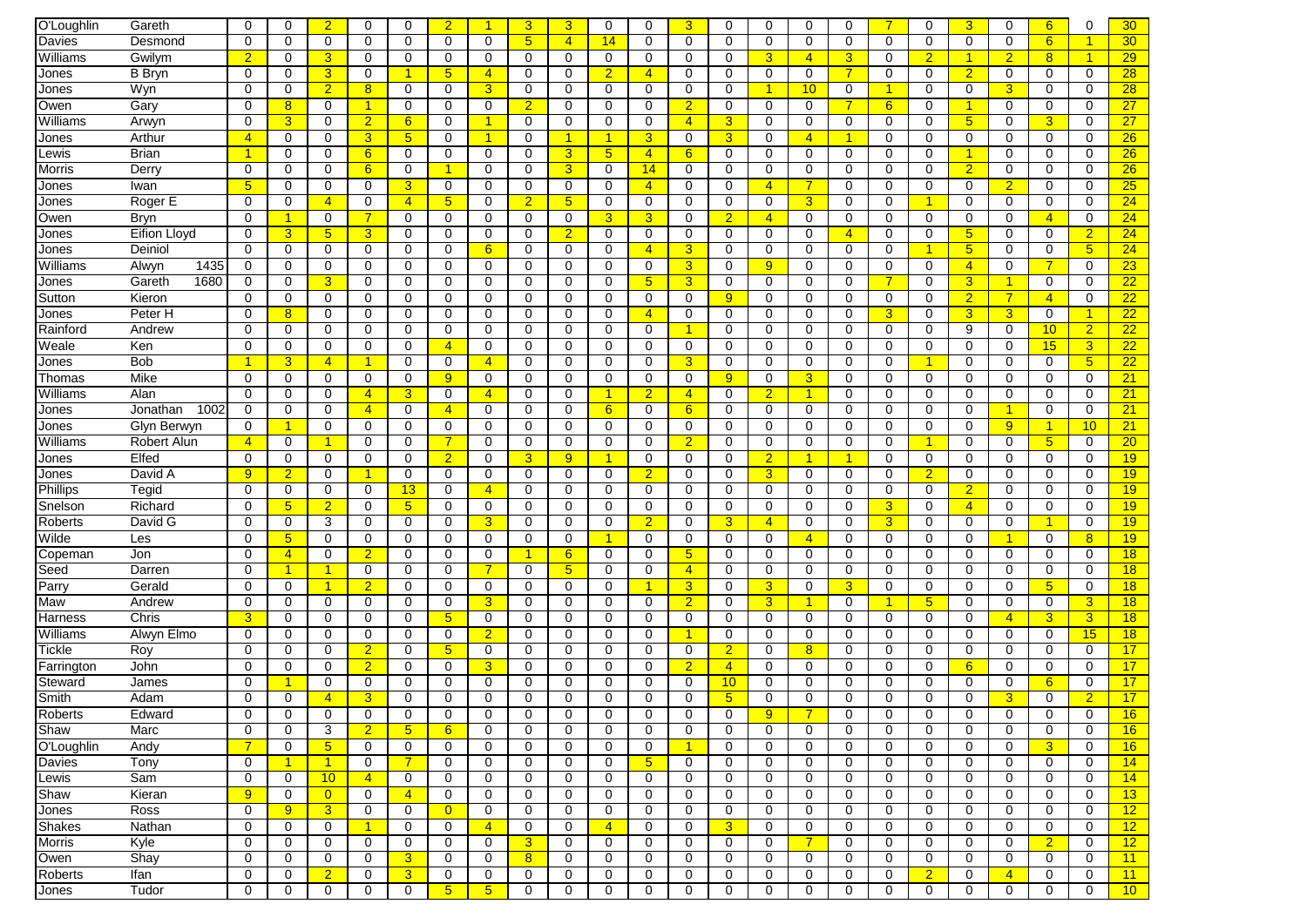| O'Loughlin    | Gareth           | $\Omega$             | $\mathbf 0$          | $\overline{2}$  | $\mathbf 0$    | $\Omega$        | $\overline{2}$  | -1                   | 3              | 3              | $\mathbf 0$          | $\mathbf 0$          | 3              | $\mathbf 0$     | $\mathbf 0$          | $\Omega$        | $\Omega$       | $\overline{7}$       | $\Omega$       | 3               | $\mathbf 0$    | 6                    | 0                    | 30 <sub>o</sub> |
|---------------|------------------|----------------------|----------------------|-----------------|----------------|-----------------|-----------------|----------------------|----------------|----------------|----------------------|----------------------|----------------|-----------------|----------------------|-----------------|----------------|----------------------|----------------|-----------------|----------------|----------------------|----------------------|-----------------|
| Davies        | Desmond          | $\Omega$             | $\mathbf 0$          | 0               | 0              | 0               | $\mathbf 0$     | $\Omega$             | 5 <sup>5</sup> | $\overline{4}$ | 14                   | 0                    | $\Omega$       | 0               | $\mathbf 0$          | $\Omega$        | 0              | 0                    | $\Omega$       | $\mathbf 0$     | $\mathbf 0$    | 6                    | $\blacktriangleleft$ | 30 <sub>o</sub> |
| Williams      | Gwilvm           | $\overline{2}$       | 0                    | 3               | 0              | 0               | 0               | $\Omega$             | 0              | 0              | $\mathbf 0$          | $\mathbf 0$          | 0              | $\mathbf 0$     | $\overline{3}$       | $\overline{4}$  | 3              | 0                    | $\overline{2}$ | $\overline{1}$  | $\overline{2}$ | 8 <sup>2</sup>       | $\blacktriangleleft$ | 29              |
| Jones         | <b>B</b> Bryn    | 0                    | 0                    | 3               | 0              | 1               | 5               | $\overline{4}$       | 0              | 0              | $\overline{2}$       | $\overline{4}$       | 0              | $\mathbf 0$     | 0                    | 0               | 7              | $\mathbf 0$          | 0              | $\overline{2}$  | 0              | 0                    | $\mathbf 0$          | 28              |
| Jones         | Wyn              | 0                    | 0                    | $\overline{2}$  | 8              | 0               | 0               | 3                    | 0              | 0              | $\mathbf 0$          | 0                    | 0              | $\mathbf 0$     | $\blacktriangleleft$ | 10 <sup>°</sup> | 0              | $\blacktriangleleft$ | 0              | 0               | 3              | 0                    | 0                    | $\overline{28}$ |
| Owen          | Gary             | $\mathbf 0$          | 8                    | $\mathbf 0$     | $\mathbf{1}$   | 0               | 0               | $\mathbf 0$          | $\overline{2}$ | 0              | 0                    | $\mathbf 0$          | $\overline{2}$ | $\mathbf 0$     | $\mathbf 0$          | 0               | 7              | 6                    | 0              | -1              | $\mathbf 0$    | 0                    | $\mathbf 0$          | $\overline{27}$ |
| Williams      | Arwyn            | $\mathbf 0$          | 3                    | $\mathbf 0$     | $\overline{2}$ | 6               | 0               | $\overline{1}$       | $\mathbf 0$    | 0              | 0                    | $\mathbf 0$          | $\overline{4}$ | 3               | 0                    | 0               | 0              | $\mathbf 0$          | 0              | $5\overline{)}$ | 0              | 3                    | $\Omega$             | $\overline{27}$ |
|               |                  |                      | 0                    | 0               | 3 <sup>5</sup> | $5\phantom{.0}$ |                 | $\blacktriangleleft$ | 0              | 1              |                      |                      | 0              | $\overline{3}$  | $\mathbf 0$          | $\overline{4}$  | -1             | 0                    | 0              | 0               | 0              | $\mathbf 0$          | 0                    | 26              |
| Jones         | Arthur           | $\overline{4}$       |                      |                 |                |                 | 0               |                      |                |                | $\blacktriangleleft$ | 3                    |                |                 |                      |                 |                |                      |                |                 |                |                      |                      |                 |
| Lewis         | Brian            | $\blacktriangleleft$ | 0                    | 0               | 6              | 0               | 0               | 0                    | 0              | 3              | 5 <sub>5</sub>       | $\overline{4}$       | 6              | $\mathbf 0$     | 0                    | 0               | 0              | $\mathbf 0$          | $\Omega$       | 1               | 0              | 0                    | 0                    | 26              |
| Morris        | Derry            | 0                    | 0                    | 0               | 6              | 0               |                 | $\Omega$             | 0              | 3              | $\mathbf 0$          | 14                   | 0              | $\mathbf 0$     | $\mathbf 0$          | 0               | 0              | $\mathbf 0$          | 0              | $\overline{2}$  | 0              | 0                    | $\mathbf 0$          | 26              |
| Jones         | Iwan             | 5                    | 0                    | 0               | 0              | 3               | 0               | 0                    | 0              | $\Omega$       | 0                    | $\overline{4}$       | $\Omega$       | $\mathbf 0$     | $\overline{4}$       | 7               | 0              | $\mathbf 0$          | $\Omega$       | 0               | $\overline{2}$ | 0                    | 0                    | 25              |
| Jones         | Roger E          | 0                    | 0                    | $\overline{4}$  | 0              | $\overline{4}$  | 5 <sup>5</sup>  | 0                    | $\overline{2}$ | 5 <sup>5</sup> | $\mathbf 0$          | $\mathbf 0$          | 0              | $\mathbf 0$     | $\mathbf 0$          | 3 <sup>1</sup>  | 0              | $\mathbf 0$          |                | $\mathbf 0$     | $\mathbf 0$    | $\mathbf 0$          | $\mathbf 0$          | 24              |
| Owen          | <b>Bryn</b>      | $\mathbf 0$          | $\mathbf{1}$         | 0               | $\overline{7}$ | 0               | 0               | 0                    | $\mathbf 0$    | 0              | 3                    | 3                    | 0              | $\overline{2}$  | $\overline{4}$       | 0               | 0              | $\mathbf 0$          | 0              | $\mathbf 0$     | 0              | $\overline{4}$       | $\mathbf 0$          | 24              |
| Jones         | Eifion Lloyd     | $\mathbf 0$          | 3                    | $5\phantom{.0}$ | 3              | 0               | 0               | $\mathbf 0$          | 0              | $\overline{2}$ | $\mathbf 0$          | 0                    | 0              | $\mathbf 0$     | 0                    | 0               | $\overline{4}$ | $\mathbf 0$          | 0              | $5\phantom{.0}$ | 0              | 0                    | $\overline{2}$       | 24              |
| Jones         | Deiniol          | $\mathbf 0$          | 0                    | 0               | $\mathbf 0$    | 0               | 0               | 6                    | $\mathbf 0$    | 0              | 0                    | $\overline{4}$       | 3              | 0               | $\mathbf 0$          | 0               | 0              | $\mathbf 0$          |                | 5               | 0              | 0                    | 5                    | 24              |
| Williams      | 1435<br>Alwyn    | 0                    | 0                    | 0               | $\mathbf 0$    | 0               | 0               | $\mathbf 0$          | $\mathbf 0$    | 0              | $\mathbf 0$          | $\mathbf 0$          | 3              | $\mathbf 0$     | 9                    | 0               | $\mathbf 0$    | $\mathbf 0$          | 0              | $\overline{4}$  | $\mathbf 0$    | $\overline{7}$       | $\mathbf 0$          | 23              |
| Jones         | 1680<br>Gareth   | 0                    | 0                    | 3               | 0              | 0               | 0               | $\Omega$             | $\mathbf 0$    | $\Omega$       | $\mathbf 0$          | 5 <sub>5</sub>       | 3              | 0               | $\mathbf 0$          | 0               | $\Omega$       | $\overline{7}$       | 0              | 3               | $\mathbf{1}$   | 0                    | $\mathbf 0$          | $\overline{22}$ |
| Sutton        | Kieron           | $\Omega$             | 0                    | 0               | 0              | 0               | 0               | 0                    | 0              | $\Omega$       | 0                    | 0                    | $\Omega$       | 9               | 0                    | 0               | 0              | 0                    | $\Omega$       | $\overline{2}$  | $\overline{7}$ | $\overline{4}$       | 0                    | 22              |
| Jones         | Peter H          | 0                    | 8                    | 0               | 0              | 0               | 0               | 0                    | 0              | 0              | $\mathbf 0$          | $\overline{4}$       | 0              | $\mathbf 0$     | $\mathbf 0$          | $\mathbf 0$     | 0              | 3                    | 0              | 3               | $\overline{3}$ | $\mathbf 0$          | 1                    | 22              |
| Rainford      | Andrew           | $\Omega$             | $\mathbf 0$          | $\Omega$        | $\Omega$       | $\Omega$        | $\Omega$        | $\Omega$             | 0              | $\Omega$       | $\Omega$             | $\Omega$             | 1              | $\mathbf 0$     | $\Omega$             | $\Omega$        | $\Omega$       | $\Omega$             | $\Omega$       | 9               | $\Omega$       | 10 <sup>°</sup>      | $\overline{2}$       | 22              |
| Weale         | Ken              | 0                    | 0                    | 0               | 0              | 0               | $\overline{4}$  | 0                    | 0              | 0              | 0                    | 0                    | 0              | $\mathbf 0$     | 0                    | 0               | $\mathbf 0$    | $\mathbf 0$          | 0              | $\mathbf 0$     | $\mathbf 0$    | 15                   | 3                    | 22              |
| Jones         | <b>Bob</b>       | $\mathbf{1}$         | 3                    | $\overline{4}$  | -1             | 0               | 0               | $\overline{4}$       | 0              | 0              | 0                    | 0                    | 3              | $\mathbf 0$     | 0                    | 0               | 0              | 0                    |                | 0               | 0              | 0                    | 5                    | 22              |
| Thomas        | Mike             | $\mathbf 0$          | 0                    | $\mathbf 0$     | $\mathbf 0$    | 0               | 9               | $\mathbf 0$          | $\mathbf 0$    | 0              | $\mathbf 0$          | $\mathbf 0$          | 0              | 9               | $\mathbf 0$          | 3               | 0              | $\mathbf 0$          | $\mathbf 0$    | $\mathbf 0$     | $\mathbf 0$    | 0                    | $\mathbf 0$          | 21              |
| Williams      | Alan             | $\mathbf 0$          | 0                    | 0               | $\overline{4}$ | 3               | 0               | $\overline{4}$       | $\mathbf 0$    | 0              | -1                   | $\overline{2}$       | 4              | $\mathbf 0$     | $\overline{2}$       | 1               | 0              | $\mathbf 0$          | $\mathbf 0$    | $\mathbf 0$     | $\mathbf 0$    | 0                    | $\mathbf 0$          | 21              |
| Jones         | 1002<br>Jonathan | 0                    | 0                    | 0               | $\overline{4}$ | 0               | $\overline{4}$  | 0                    | 0              | 0              | 6                    | 0                    | 6              | 0               | 0                    | 0               | 0              | 0                    | 0              | 0               | $\mathbf{1}$   | 0                    | $\mathbf 0$          | 21              |
| Jones         | Glyn Berwyn      | 0                    | $\blacktriangleleft$ | 0               | 0              | 0               | 0               | 0                    | 0              | $\Omega$       | $\mathbf 0$          | 0                    | 0              | 0               | $\mathbf 0$          | 0               | 0              | 0                    | 0              | 0               | 9              | $\blacktriangleleft$ | 10                   | 21              |
| Williams      | Robert Alun      | $\overline{4}$       | $\mathbf 0$          | -1              | 0              | 0               | $\overline{7}$  | 0                    | 0              | $\Omega$       | 0                    | $\mathbf 0$          | $\overline{2}$ | $\mathbf 0$     | 0                    | 0               | 0              | $\mathbf 0$          | -1             | $\Omega$        | 0              | 5 <sub>5</sub>       | 0                    | 20              |
| Jones         | Elfed            | $\Omega$             | 0                    | 0               | 0              | 0               | $\overline{2}$  | $\Omega$             | 3              | 9              | $\blacktriangleleft$ | 0                    | 0              | $\mathbf 0$     | $\overline{2}$       | 1               | $\overline{1}$ | $\mathbf 0$          | 0              | 0               | $\mathbf 0$    | $\mathbf 0$          | $\mathbf 0$          | 19              |
| Jones         | David A          | $\overline{9}$       | $\overline{2}$       | 0               | -1             | 0               | 0               | $\Omega$             | 0              | $\Omega$       | 0                    | $\overline{2}$       | $\Omega$       | $\mathbf 0$     | $\overline{3}$       | 0               | 0              | $\mathbf 0$          | $\overline{2}$ | 0               | 0              | $\Omega$             | $\Omega$             | 19              |
| Phillips      | Tegid            | 0                    | $\mathbf 0$          | 0               | 0              | 13              | 0               | $\overline{4}$       | 0              | 0              | $\mathbf 0$          | $\mathbf 0$          | 0              | $\mathbf 0$     | $\mathbf 0$          | 0               | $\mathbf 0$    | $\mathbf 0$          | 0              | $\overline{2}$  | 0              | $\mathbf 0$          | $\mathbf 0$          | 19              |
| Snelson       | Richard          | $\mathbf 0$          | 5 <sup>5</sup>       | $\overline{2}$  | $\mathbf 0$    | 5 <sub>5</sub>  | $\mathbf 0$     | 0                    | $\mathbf 0$    | $\Omega$       | $\mathbf 0$          | $\mathbf 0$          | $\Omega$       | $\mathbf 0$     | $\mathbf 0$          | 0               | $\mathbf 0$    | $\overline{3}$       | $\mathbf 0$    | $\overline{4}$  | $\mathbf 0$    | $\mathbf 0$          | $\mathbf 0$          | 19              |
| Roberts       | David G          | $\mathbf 0$          | 0                    | 3               | $\mathbf 0$    | 0               | 0               | 3                    | 0              | 0              | $\mathbf 0$          | $\overline{2}$       | 0              | 3               | $\overline{4}$       | 0               | 0              | $\overline{3}$       | 0              | 0               | 0              | 1                    | $\Omega$             | 19              |
| Wilde         | Les              | $\mathbf 0$          | 5                    | $\mathbf 0$     | 0              | 0               | 0               | $\mathbf 0$          | $\mathbf 0$    | 0              | -1                   | $\mathbf 0$          | 0              | $\mathbf 0$     | $\mathbf 0$          | $\overline{4}$  | 0              | $\mathbf 0$          | 0              | 0               | 1              | 0                    | 8                    | 19              |
| Copeman       | Jon              | $\Omega$             | $\overline{4}$       | 0               | $\overline{2}$ | $\Omega$        | 0               | 0                    | $\overline{1}$ | 6              | 0                    | $\Omega$             | 5              | $\mathbf 0$     | $\mathbf 0$          | 0               | 0              | $\Omega$             | $\Omega$       | $\Omega$        | $\Omega$       | $\Omega$             | 0                    | 18              |
| Seed          | Darren           | $\Omega$             | $\mathbf{1}$         | -1              | 0              | 0               | 0               | $\overline{7}$       | 0              | 5 <sub>5</sub> | $\mathbf 0$          | 0                    | $\overline{4}$ | $\mathbf 0$     | 0                    | 0               | 0              | 0                    | 0              | $\Omega$        | 0              | 0                    | 0                    | 18              |
| Parry         | Gerald           | 0                    | 0                    | -1              | $\overline{2}$ | 0               | 0               | 0                    | 0              | 0              | 0                    | $\blacktriangleleft$ | 3              | $\mathbf 0$     | 3                    | 0               | 3              | $\mathbf 0$          | 0              | 0               | 0              | 5 <sub>5</sub>       | 0                    | 18              |
| Maw           | Andrew           | 0                    | 0                    | 0               | 0              | 0               | 0               | 3                    | 0              | 0              | $\mathbf 0$          | 0                    | $\overline{2}$ | $\mathbf 0$     | $\overline{3}$       | 1               | 0              | -1                   | 5 <sup>5</sup> | 0               | 0              | 0                    | 3                    | 18              |
| Harness       | Chris            | 3                    | 0                    | $\mathbf 0$     | 0              | 0               | $5\overline{)}$ | 0                    | 0              | $\Omega$       | 0                    | $\mathbf 0$          | 0              | $\mathbf 0$     | $\mathbf 0$          | $\mathbf 0$     | 0              | 0                    | 0              | $\mathbf 0$     | $\overline{4}$ | $\overline{3}$       | 3                    | 18              |
| Williams      | Alwyn Elmo       | 0                    | 0                    | $\mathbf 0$     | 0              | 0               | 0               | $\overline{2}$       | 0              | 0              | 0                    | $\mathbf 0$          | 1              | 0               | $\mathbf 0$          | 0               | 0              | $\mathbf 0$          | 0              | $\mathbf 0$     | 0              | $\mathbf 0$          | 15                   | 18              |
| Tickle        | Roy              | $\mathbf 0$          | 0                    | 0               | $\overline{2}$ | 0               | $5\overline{)}$ | 0                    | 0              | 0              | 0                    | 0                    | 0              | $\overline{2}$  | 0                    | 8               | 0              | 0                    | 0              | 0               | 0              | 0                    | $\mathbf 0$          | 17              |
| Farrington    | John             | $\mathbf 0$          | 0                    | $\mathbf 0$     | $\overline{2}$ | 0               | 0               | 3                    | $\mathbf 0$    | 0              | $\mathbf 0$          | $\mathbf 0$          | $\overline{2}$ | $\overline{4}$  | $\mathbf 0$          | 0               | 0              | $\mathbf 0$          | 0              | 6               | $\mathbf 0$    | 0                    | $\mathbf 0$          | 17              |
| Steward       | James            | $\mathbf 0$          | 1                    | 0               | $\mathbf 0$    | 0               | 0               | $\mathbf 0$          | $\mathbf 0$    | $\Omega$       | $\mathbf 0$          | $\mathbf 0$          | $\Omega$       | 10              | $\mathbf 0$          | 0               | 0              | $\mathbf 0$          | $\mathbf 0$    | $\mathbf 0$     | $\mathbf 0$    | 6                    | $\mathbf 0$          | 17              |
| Smith         | Adam             | $\Omega$             | 0                    | $\overline{4}$  | 3              | $\Omega$        | 0               | $\Omega$             | $\Omega$       | $\Omega$       | $\Omega$             | $\Omega$             | $\Omega$       | $5\overline{)}$ | $\Omega$             | 0               | 0              | $\Omega$             | 0              | $\Omega$        | 3              | 0                    | $\overline{2}$       | 17              |
| Roberts       | Edward           | U                    | U                    | U               | U              | U               | U               | U                    | U              | U              | $\cup$               | O                    | U              | U               | 9                    |                 | U              | U                    | U              | U               | U              | U                    | 0                    | 16              |
| Shaw          | Marc             | $\mathbf 0$          | $\mathbf 0$          | 3               | $\overline{2}$ | $5\overline{)}$ | 6               | 0                    | 0              | 0              | $\mathbf 0$          | $\mathbf 0$          | 0              | 0               | $\mathbf 0$          | 0               | $\mathbf 0$    | $\mathbf 0$          | 0              | $\mathbf 0$     | 0              | $\mathbf 0$          | 0                    | 16              |
| O'Loughlin    | Andy             | $\overline{7}$       | 0                    | 5 <sub>5</sub>  | $\mathbf{0}$   | 0               | 0               | 0                    | 0              | 0              | $\mathbf 0$          | 0                    | $\mathbf{1}$   | $\mathbf 0$     | $\mathbf 0$          | $\mathbf 0$     | 0              | $\mathbf 0$          | 0              | 0               | $\mathbf 0$    | 3                    | 0                    | 16              |
| Davies        | Tony             | 0                    | $\mathbf{1}$         | $\overline{1}$  | $\mathbf 0$    | $\overline{7}$  | 0               | 0                    | 0              | 0              | $\mathbf 0$          | 5 <sup>5</sup>       | 0              | 0               | $\mathbf 0$          | $\mathbf 0$     | 0              | 0                    | 0              | $\mathbf 0$     | 0              | 0                    | $\mathbf 0$          | 14              |
| Lewis         | Sam              | 0                    | 0                    | 10              | $\overline{4}$ | 0               | 0               | 0                    | $\mathbf 0$    | 0              | 0                    | $\mathbf 0$          | 0              | 0               | $\mathbf 0$          | 0               | $\mathbf 0$    | 0                    | 0              | 0               | 0              | 0                    | 0                    | 14              |
| Shaw          | Kieran           | 9                    | 0                    | $\overline{0}$  | 0              | $\overline{4}$  | 0               | 0                    | $\mathbf 0$    | 0              | 0                    | 0                    | 0              | $\mathbf 0$     | $\mathbf 0$          | 0               | $\mathbf 0$    | $\mathbf 0$          | 0              | $\mathbf 0$     | $\mathbf 0$    | 0                    | 0                    | 13              |
| Jones         | Ross             | 0                    | 9                    | $\overline{3}$  | 0              | 0               | $\overline{0}$  | 0                    | $\mathbf 0$    | 0              | 0                    | 0                    | 0              | $\mathbf 0$     | 0                    | 0               | 0              | 0                    | 0              | 0               | 0              | 0                    | 0                    | 12              |
| Shakes        | Nathan           | 0                    | 0                    | 0               | $\mathbf{1}$   | 0               | 0               | $\overline{4}$       | 0              | 0              | $\overline{4}$       | 0                    | 0              | $\mathbf{3}$    | $\mathbf 0$          | 0               | 0              | 0                    | 0              | 0               | 0              | 0                    | 0                    | 12              |
| <b>Morris</b> | Kyle             | 0                    | 0                    | 0               | 0              | 0               | 0               | 0                    | 3              | 0              | 0                    | $\mathbf 0$          | 0              | 0               | $\mathbf 0$          | $\overline{7}$  | $\mathbf 0$    | 0                    | 0              | 0               | 0              | $\overline{2}$       | 0                    | 12              |
| Owen          | Shay             | $\mathbf 0$          | 0                    | 0               | 0              | 3               | 0               | 0                    | 8              | 0              | 0                    | 0                    | 0              | $\mathbf 0$     | $\mathbf 0$          | 0               | $\mathbf 0$    | $\mathbf 0$          | 0              | $\mathbf 0$     | 0              | 0                    | 0                    | 11              |
| Roberts       | Ifan             | $\mathbf 0$          | 0                    | $\overline{2}$  | 0              | 3               | 0               | 0                    | 0              | 0              | 0                    | 0                    | 0              | 0               | $\mathbf 0$          | 0               | 0              | 0                    | $\overline{2}$ | 0               | $\overline{4}$ | 0                    | 0                    | 11              |
| Jones         | Tudor            | 0                    | 0                    | 0               | 0              | $\mathbf 0$     | 5 <sub>5</sub>  | 5 <sup>5</sup>       | 0              | 0              | 0                    | 0                    | 0              | $\mathbf 0$     | $\mathbf 0$          | 0               | 0              | $\mathbf 0$          | 0              | 0               | $\mathbf 0$    | 0                    | 0                    | 10              |